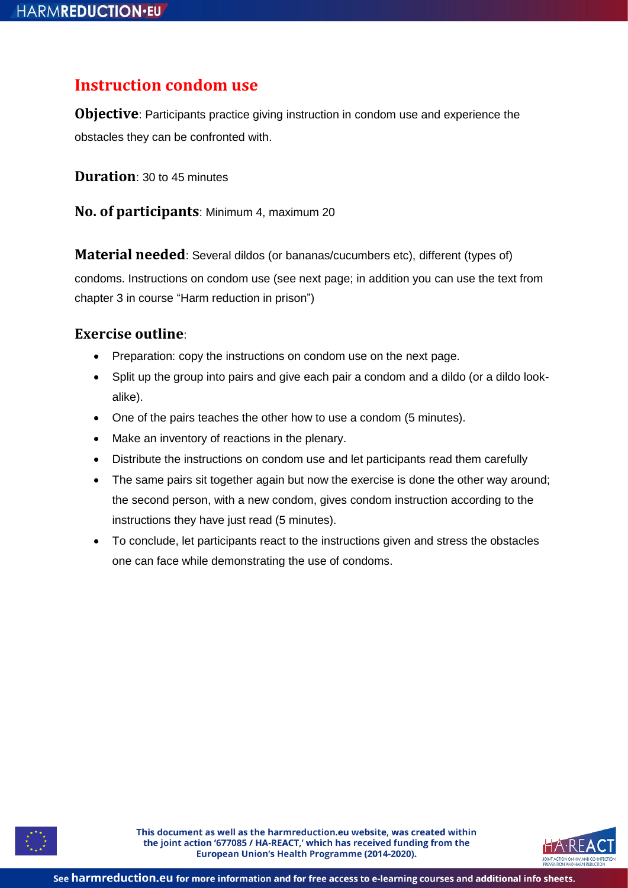## **Instruction condom use**

**Objective**: Participants practice giving instruction in condom use and experience the obstacles they can be confronted with.

**Duration**: 30 to 45 minutes

**No. of participants**: Minimum 4, maximum 20

**Material needed**: Several dildos (or bananas/cucumbers etc), different (types of)

condoms. Instructions on condom use (see next page; in addition you can use the text from chapter 3 in course "Harm reduction in prison")

## **Exercise outline**:

- Preparation: copy the instructions on condom use on the next page.
- Split up the group into pairs and give each pair a condom and a dildo (or a dildo lookalike).
- One of the pairs teaches the other how to use a condom (5 minutes).
- Make an inventory of reactions in the plenary.
- Distribute the instructions on condom use and let participants read them carefully
- The same pairs sit together again but now the exercise is done the other way around; the second person, with a new condom, gives condom instruction according to the instructions they have just read (5 minutes).
- To conclude, let participants react to the instructions given and stress the obstacles one can face while demonstrating the use of condoms.



This document as well as the harmreduction.eu website, was created within the joint action '677085 / HA-REACT,' which has received funding from the European Union's Health Programme (2014-2020).